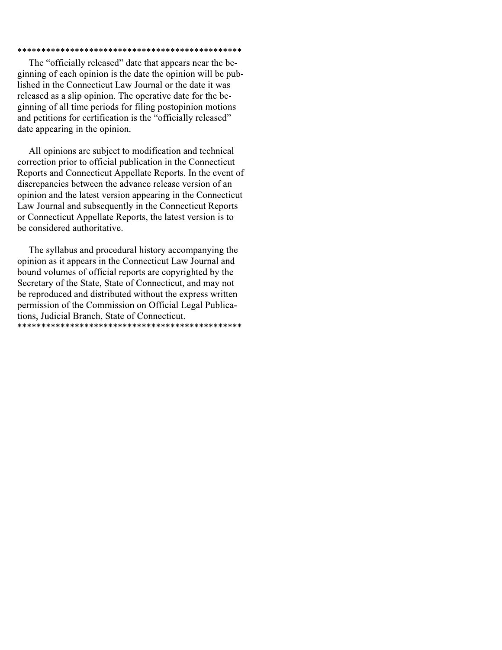### 

The "officially released" date that appears near the beginning of each opinion is the date the opinion will be published in the Connecticut Law Journal or the date it was released as a slip opinion. The operative date for the beginning of all time periods for filing postopinion motions and petitions for certification is the "officially released" date appearing in the opinion.

All opinions are subject to modification and technical correction prior to official publication in the Connecticut Reports and Connecticut Appellate Reports. In the event of discrepancies between the advance release version of an opinion and the latest version appearing in the Connecticut Law Journal and subsequently in the Connecticut Reports or Connecticut Appellate Reports, the latest version is to be considered authoritative.

The syllabus and procedural history accompanying the opinion as it appears in the Connecticut Law Journal and bound volumes of official reports are copyrighted by the Secretary of the State, State of Connecticut, and may not be reproduced and distributed without the express written permission of the Commission on Official Legal Publications, Judicial Branch, State of Connecticut.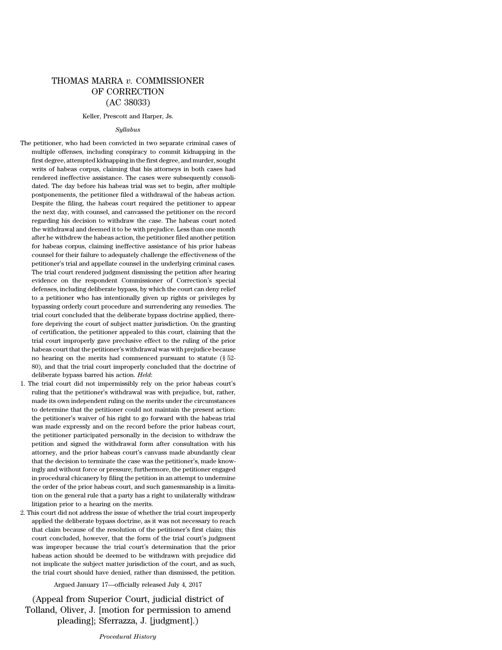# THOMAS MARRA *v.* COMMISSIONER OF CORRECTION (AC 38033)

#### Keller, Prescott and Harper, Js.

#### *Syllabus*

- The petitioner, who had been convicted in two separate criminal cases of multiple offenses, including conspiracy to commit kidnapping in the first degree, attempted kidnapping in the first degree, and murder, sought writs of habeas corpus, claiming that his attorneys in both cases had rendered ineffective assistance. The cases were subsequently consolidated. The day before his habeas trial was set to begin, after multiple postponements, the petitioner filed a withdrawal of the habeas action. Despite the filing, the habeas court required the petitioner to appear the next day, with counsel, and canvassed the petitioner on the record regarding his decision to withdraw the case. The habeas court noted the withdrawal and deemed it to be with prejudice. Less than one month after he withdrew the habeas action, the petitioner filed another petition for habeas corpus, claiming ineffective assistance of his prior habeas counsel for their failure to adequately challenge the effectiveness of the petitioner's trial and appellate counsel in the underlying criminal cases. The trial court rendered judgment dismissing the petition after hearing evidence on the respondent Commissioner of Correction's special defenses, including deliberate bypass, by which the court can deny relief to a petitioner who has intentionally given up rights or privileges by bypassing orderly court procedure and surrendering any remedies. The trial court concluded that the deliberate bypass doctrine applied, therefore depriving the court of subject matter jurisdiction. On the granting of certification, the petitioner appealed to this court, claiming that the trial court improperly gave preclusive effect to the ruling of the prior habeas court that the petitioner's withdrawal was with prejudice because no hearing on the merits had commenced pursuant to statute (§ 52- 80), and that the trial court improperly concluded that the doctrine of deliberate bypass barred his action. *Held*:
- 1. The trial court did not impermissibly rely on the prior habeas court's ruling that the petitioner's withdrawal was with prejudice, but, rather, made its own independent ruling on the merits under the circumstances to determine that the petitioner could not maintain the present action: the petitioner's waiver of his right to go forward with the habeas trial was made expressly and on the record before the prior habeas court, the petitioner participated personally in the decision to withdraw the petition and signed the withdrawal form after consultation with his attorney, and the prior habeas court's canvass made abundantly clear that the decision to terminate the case was the petitioner's, made knowingly and without force or pressure; furthermore, the petitioner engaged in procedural chicanery by filing the petition in an attempt to undermine the order of the prior habeas court, and such gamesmanship is a limitation on the general rule that a party has a right to unilaterally withdraw litigation prior to a hearing on the merits.
- 2. This court did not address the issue of whether the trial court improperly applied the deliberate bypass doctrine, as it was not necessary to reach that claim because of the resolution of the petitioner's first claim; this court concluded, however, that the form of the trial court's judgment was improper because the trial court's determination that the prior habeas action should be deemed to be withdrawn with prejudice did not implicate the subject matter jurisdiction of the court, and as such, the trial court should have denied, rather than dismissed, the petition.

Argued January 17—officially released July 4, 2017

(Appeal from Superior Court, judicial district of Tolland, Oliver, J. [motion for permission to amend pleading]; Sferrazza, J. [judgment].)

*Procedural History*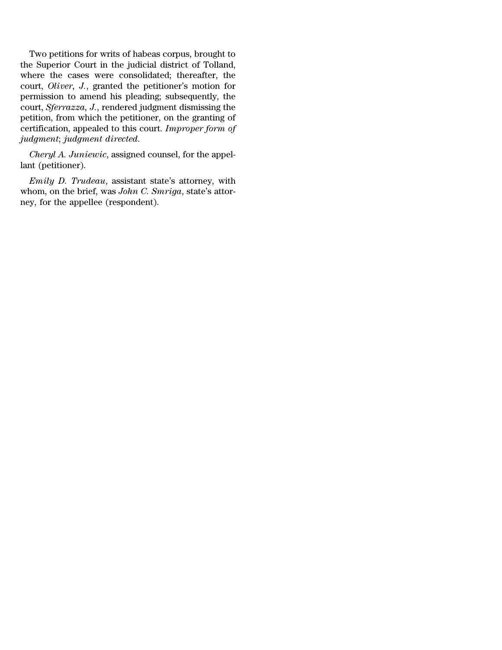Two petitions for writs of habeas corpus, brought to the Superior Court in the judicial district of Tolland, where the cases were consolidated; thereafter, the court, *Oliver, J.*, granted the petitioner's motion for permission to amend his pleading; subsequently, the court, *Sferrazza, J.*, rendered judgment dismissing the petition, from which the petitioner, on the granting of certification, appealed to this court. *Improper form of judgment*; *judgment directed*.

*Cheryl A. Juniewic*, assigned counsel, for the appellant (petitioner).

*Emily D. Trudeau*, assistant state's attorney, with whom, on the brief, was *John C. Smriga*, state's attorney, for the appellee (respondent).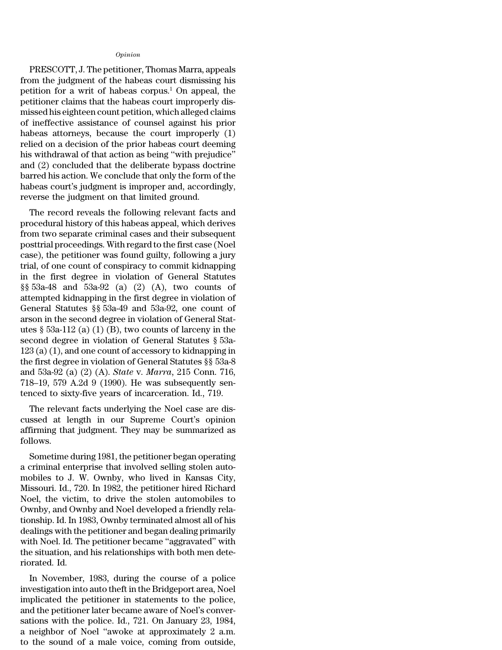### *Opinion*

PRESCOTT, J. The petitioner, Thomas Marra, appeals from the judgment of the habeas court dismissing his petition for a writ of habeas corpus.<sup>1</sup> On appeal, the petitioner claims that the habeas court improperly dismissed his eighteen count petition, which alleged claims of ineffective assistance of counsel against his prior habeas attorneys, because the court improperly (1) relied on a decision of the prior habeas court deeming his withdrawal of that action as being ''with prejudice'' and (2) concluded that the deliberate bypass doctrine barred his action. We conclude that only the form of the habeas court's judgment is improper and, accordingly, reverse the judgment on that limited ground.

The record reveals the following relevant facts and procedural history of this habeas appeal, which derives from two separate criminal cases and their subsequent posttrial proceedings. With regard to the first case (Noel case), the petitioner was found guilty, following a jury trial, of one count of conspiracy to commit kidnapping in the first degree in violation of General Statutes §§ 53a-48 and 53a-92 (a) (2) (A), two counts of attempted kidnapping in the first degree in violation of General Statutes §§ 53a-49 and 53a-92, one count of arson in the second degree in violation of General Statutes  $\S$  53a-112 (a) (1) (B), two counts of larceny in the second degree in violation of General Statutes § 53a-123 (a) (1), and one count of accessory to kidnapping in the first degree in violation of General Statutes §§ 53a-8 and 53a-92 (a) (2) (A). *State* v. *Marra*, 215 Conn. 716, 718–19, 579 A.2d 9 (1990). He was subsequently sentenced to sixty-five years of incarceration. Id., 719.

The relevant facts underlying the Noel case are discussed at length in our Supreme Court's opinion affirming that judgment. They may be summarized as follows.

Sometime during 1981, the petitioner began operating a criminal enterprise that involved selling stolen automobiles to J. W. Ownby, who lived in Kansas City, Missouri. Id., 720. In 1982, the petitioner hired Richard Noel, the victim, to drive the stolen automobiles to Ownby, and Ownby and Noel developed a friendly relationship. Id. In 1983, Ownby terminated almost all of his dealings with the petitioner and began dealing primarily with Noel. Id. The petitioner became "aggravated" with the situation, and his relationships with both men deteriorated. Id.

In November, 1983, during the course of a police investigation into auto theft in the Bridgeport area, Noel implicated the petitioner in statements to the police, and the petitioner later became aware of Noel's conversations with the police. Id., 721. On January 23, 1984, a neighbor of Noel ''awoke at approximately 2 a.m. to the sound of a male voice, coming from outside,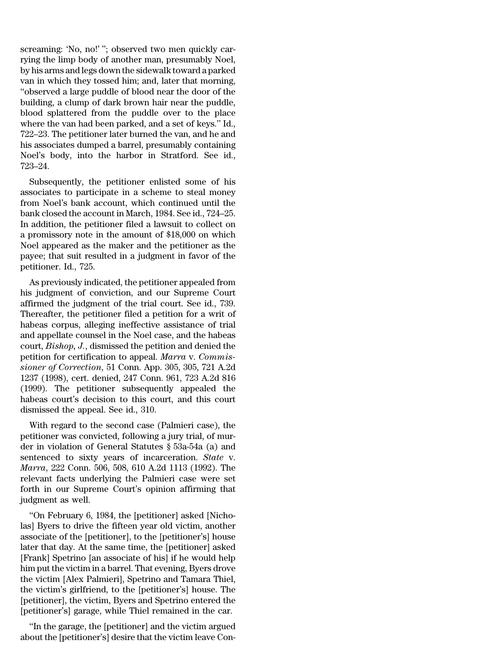screaming: 'No, no!' ''; observed two men quickly carrying the limp body of another man, presumably Noel, by his arms and legs down the sidewalk toward a parked van in which they tossed him; and, later that morning, ''observed a large puddle of blood near the door of the building, a clump of dark brown hair near the puddle, blood splattered from the puddle over to the place where the van had been parked, and a set of keys.'' Id., 722–23. The petitioner later burned the van, and he and his associates dumped a barrel, presumably containing Noel's body, into the harbor in Stratford. See id., 723–24.

Subsequently, the petitioner enlisted some of his associates to participate in a scheme to steal money from Noel's bank account, which continued until the bank closed the account in March, 1984. See id., 724–25. In addition, the petitioner filed a lawsuit to collect on a promissory note in the amount of \$18,000 on which Noel appeared as the maker and the petitioner as the payee; that suit resulted in a judgment in favor of the petitioner. Id., 725.

As previously indicated, the petitioner appealed from his judgment of conviction, and our Supreme Court affirmed the judgment of the trial court. See id., 739. Thereafter, the petitioner filed a petition for a writ of habeas corpus, alleging ineffective assistance of trial and appellate counsel in the Noel case, and the habeas court, *Bishop, J.*, dismissed the petition and denied the petition for certification to appeal. *Marra* v. *Commissioner of Correction*, 51 Conn. App. 305, 305, 721 A.2d 1237 (1998), cert. denied, 247 Conn. 961, 723 A.2d 816 (1999). The petitioner subsequently appealed the habeas court's decision to this court, and this court dismissed the appeal. See id., 310.

With regard to the second case (Palmieri case), the petitioner was convicted, following a jury trial, of murder in violation of General Statutes § 53a-54a (a) and sentenced to sixty years of incarceration. *State* v. *Marra*, 222 Conn. 506, 508, 610 A.2d 1113 (1992). The relevant facts underlying the Palmieri case were set forth in our Supreme Court's opinion affirming that judgment as well.

''On February 6, 1984, the [petitioner] asked [Nicholas] Byers to drive the fifteen year old victim, another associate of the [petitioner], to the [petitioner's] house later that day. At the same time, the [petitioner] asked [Frank] Spetrino [an associate of his] if he would help him put the victim in a barrel. That evening, Byers drove the victim [Alex Palmieri], Spetrino and Tamara Thiel, the victim's girlfriend, to the [petitioner's] house. The [petitioner], the victim, Byers and Spetrino entered the [petitioner's] garage, while Thiel remained in the car.

''In the garage, the [petitioner] and the victim argued about the [petitioner's] desire that the victim leave Con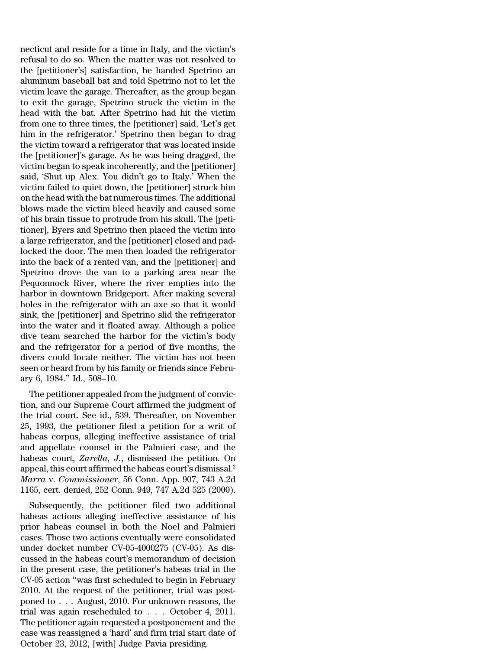necticut and reside for a time in Italy, and the victim's refusal to do so. When the matter was not resolved to the [petitioner's] satisfaction, he handed Spetrino an aluminum baseball bat and told Spetrino not to let the victim leave the garage. Thereafter, as the group began to exit the garage, Spetrino struck the victim in the head with the bat. After Spetrino had hit the victim from one to three times, the [petitioner] said, 'Let's get him in the refrigerator.' Spetrino then began to drag the victim toward a refrigerator that was located inside the [petitioner]'s garage. As he was being dragged, the victim began to speak incoherently, and the [petitioner] said, 'Shut up Alex. You didn't go to Italy.' When the victim failed to quiet down, the [petitioner] struck him on the head with the bat numerous times. The additional blows made the victim bleed heavily and caused some of his brain tissue to protrude from his skull. The [petitioner], Byers and Spetrino then placed the victim into a large refrigerator, and the [petitioner] closed and padlocked the door. The men then loaded the refrigerator into the back of a rented van, and the [petitioner] and Spetrino drove the van to a parking area near the Pequonnock River, where the river empties into the harbor in downtown Bridgeport. After making several holes in the refrigerator with an axe so that it would sink, the [petitioner] and Spetrino slid the refrigerator into the water and it floated away. Although a police dive team searched the harbor for the victim's body and the refrigerator for a period of five months, the divers could locate neither. The victim has not been seen or heard from by his family or friends since February 6, 1984.'' Id., 508–10.

The petitioner appealed from the judgment of conviction, and our Supreme Court affirmed the judgment of the trial court. See id., 539. Thereafter, on November 25, 1993, the petitioner filed a petition for a writ of habeas corpus, alleging ineffective assistance of trial and appellate counsel in the Palmieri case, and the habeas court, *Zarella, J.*, dismissed the petition. On appeal, this court affirmed the habeas court's dismissal.<sup>2</sup> *Marra* v. *Commissioner*, 56 Conn. App. 907, 743 A.2d 1165, cert. denied, 252 Conn. 949, 747 A.2d 525 (2000).

Subsequently, the petitioner filed two additional habeas actions alleging ineffective assistance of his prior habeas counsel in both the Noel and Palmieri cases. Those two actions eventually were consolidated under docket number CV-05-4000275 (CV-05). As discussed in the habeas court's memorandum of decision in the present case, the petitioner's habeas trial in the CV-05 action ''was first scheduled to begin in February 2010. At the request of the petitioner, trial was postponed to . . . August, 2010. For unknown reasons, the trial was again rescheduled to . . . October 4, 2011. The petitioner again requested a postponement and the case was reassigned a 'hard' and firm trial start date of October 23, 2012, [with] Judge Pavia presiding.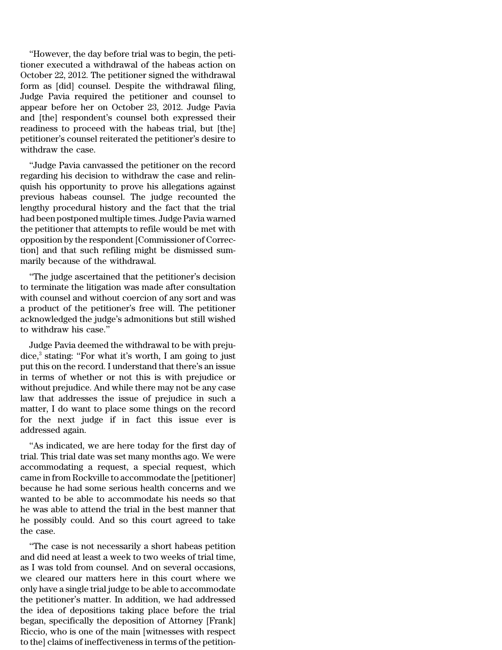''However, the day before trial was to begin, the petitioner executed a withdrawal of the habeas action on October 22, 2012. The petitioner signed the withdrawal form as [did] counsel. Despite the withdrawal filing, Judge Pavia required the petitioner and counsel to appear before her on October 23, 2012. Judge Pavia and [the] respondent's counsel both expressed their readiness to proceed with the habeas trial, but [the] petitioner's counsel reiterated the petitioner's desire to withdraw the case.

''Judge Pavia canvassed the petitioner on the record regarding his decision to withdraw the case and relinquish his opportunity to prove his allegations against previous habeas counsel. The judge recounted the lengthy procedural history and the fact that the trial had been postponed multiple times. Judge Pavia warned the petitioner that attempts to refile would be met with opposition by the respondent [Commissioner of Correction] and that such refiling might be dismissed summarily because of the withdrawal.

''The judge ascertained that the petitioner's decision to terminate the litigation was made after consultation with counsel and without coercion of any sort and was a product of the petitioner's free will. The petitioner acknowledged the judge's admonitions but still wished to withdraw his case.''

Judge Pavia deemed the withdrawal to be with prejudice,<sup>3</sup> stating: "For what it's worth, I am going to just put this on the record. I understand that there's an issue in terms of whether or not this is with prejudice or without prejudice. And while there may not be any case law that addresses the issue of prejudice in such a matter, I do want to place some things on the record for the next judge if in fact this issue ever is addressed again.

''As indicated, we are here today for the first day of trial. This trial date was set many months ago. We were accommodating a request, a special request, which came in from Rockville to accommodate the [petitioner] because he had some serious health concerns and we wanted to be able to accommodate his needs so that he was able to attend the trial in the best manner that he possibly could. And so this court agreed to take the case.

''The case is not necessarily a short habeas petition and did need at least a week to two weeks of trial time, as I was told from counsel. And on several occasions, we cleared our matters here in this court where we only have a single trial judge to be able to accommodate the petitioner's matter. In addition, we had addressed the idea of depositions taking place before the trial began, specifically the deposition of Attorney [Frank] Riccio, who is one of the main [witnesses with respect to the] claims of ineffectiveness in terms of the petition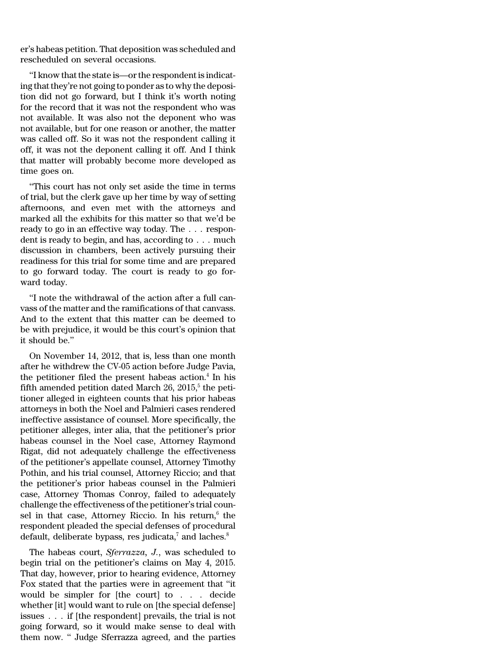er's habeas petition. That deposition was scheduled and rescheduled on several occasions.

"I know that the state is—or the respondent is indicating that they're not going to ponder as to why the deposition did not go forward, but I think it's worth noting for the record that it was not the respondent who was not available. It was also not the deponent who was not available, but for one reason or another, the matter was called off. So it was not the respondent calling it off, it was not the deponent calling it off. And I think that matter will probably become more developed as time goes on.

''This court has not only set aside the time in terms of trial, but the clerk gave up her time by way of setting afternoons, and even met with the attorneys and marked all the exhibits for this matter so that we'd be ready to go in an effective way today. The . . . respondent is ready to begin, and has, according to . . . much discussion in chambers, been actively pursuing their readiness for this trial for some time and are prepared to go forward today. The court is ready to go forward today.

''I note the withdrawal of the action after a full canvass of the matter and the ramifications of that canvass. And to the extent that this matter can be deemed to be with prejudice, it would be this court's opinion that it should be.''

On November 14, 2012, that is, less than one month after he withdrew the CV-05 action before Judge Pavia, the petitioner filed the present habeas action.<sup>4</sup> In his fifth amended petition dated March  $26, 2015, 5$  the petitioner alleged in eighteen counts that his prior habeas attorneys in both the Noel and Palmieri cases rendered ineffective assistance of counsel. More specifically, the petitioner alleges, inter alia, that the petitioner's prior habeas counsel in the Noel case, Attorney Raymond Rigat, did not adequately challenge the effectiveness of the petitioner's appellate counsel, Attorney Timothy Pothin, and his trial counsel, Attorney Riccio; and that the petitioner's prior habeas counsel in the Palmieri case, Attorney Thomas Conroy, failed to adequately challenge the effectiveness of the petitioner's trial counsel in that case, Attorney Riccio. In his return, $^6$  the respondent pleaded the special defenses of procedural default, deliberate bypass, res judicata, $^7$  and laches. $^8$ 

The habeas court, *Sferrazza, J.*, was scheduled to begin trial on the petitioner's claims on May 4, 2015. That day, however, prior to hearing evidence, Attorney Fox stated that the parties were in agreement that ''it would be simpler for [the court] to . . . decide whether [it] would want to rule on [the special defense] issues . . . if [the respondent] prevails, the trial is not going forward, so it would make sense to deal with them now. '' Judge Sferrazza agreed, and the parties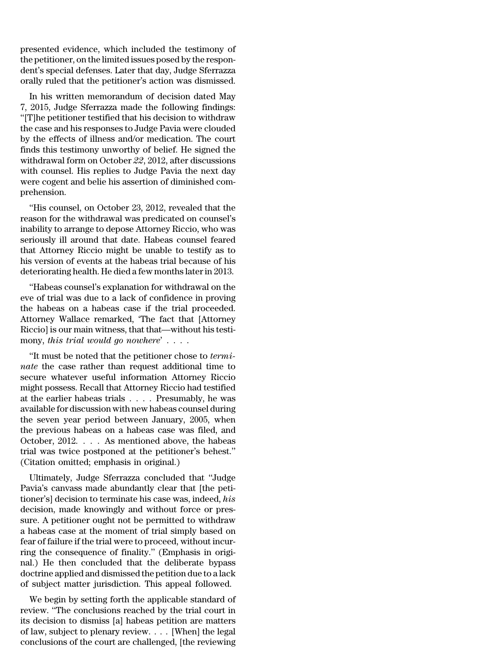presented evidence, which included the testimony of the petitioner, on the limited issues posed by the respondent's special defenses. Later that day, Judge Sferrazza orally ruled that the petitioner's action was dismissed.

In his written memorandum of decision dated May 7, 2015, Judge Sferrazza made the following findings: ''[T]he petitioner testified that his decision to withdraw the case and his responses to Judge Pavia were clouded by the effects of illness and/or medication. The court finds this testimony unworthy of belief. He signed the withdrawal form on October *22*, 2012, after discussions with counsel. His replies to Judge Pavia the next day were cogent and belie his assertion of diminished comprehension.

''His counsel, on October 23, 2012, revealed that the reason for the withdrawal was predicated on counsel's inability to arrange to depose Attorney Riccio, who was seriously ill around that date. Habeas counsel feared that Attorney Riccio might be unable to testify as to his version of events at the habeas trial because of his deteriorating health. He died a few months laterin 2013.

''Habeas counsel's explanation for withdrawal on the eve of trial was due to a lack of confidence in proving the habeas on a habeas case if the trial proceeded. Attorney Wallace remarked, 'The fact that [Attorney Riccio] is our main witness, that that—without his testimony, *this trial would go nowhere*' . . . .

''It must be noted that the petitioner chose to *terminate* the case rather than request additional time to secure whatever useful information Attorney Riccio might possess. Recall that Attorney Riccio had testified at the earlier habeas trials . . . . Presumably, he was available for discussion with new habeas counsel during the seven year period between January, 2005, when the previous habeas on a habeas case was filed, and October, 2012. . . . As mentioned above, the habeas trial was twice postponed at the petitioner's behest.'' (Citation omitted; emphasis in original.)

Ultimately, Judge Sferrazza concluded that ''Judge Pavia's canvass made abundantly clear that [the petitioner's] decision to terminate his case was, indeed, *his* decision, made knowingly and without force or pressure. A petitioner ought not be permitted to withdraw a habeas case at the moment of trial simply based on fear of failure if the trial were to proceed, without incurring the consequence of finality.'' (Emphasis in original.) He then concluded that the deliberate bypass doctrine applied and dismissed the petition due to a lack of subject matter jurisdiction. This appeal followed.

We begin by setting forth the applicable standard of review. ''The conclusions reached by the trial court in its decision to dismiss [a] habeas petition are matters of law, subject to plenary review. . . . [When] the legal conclusions of the court are challenged, [the reviewing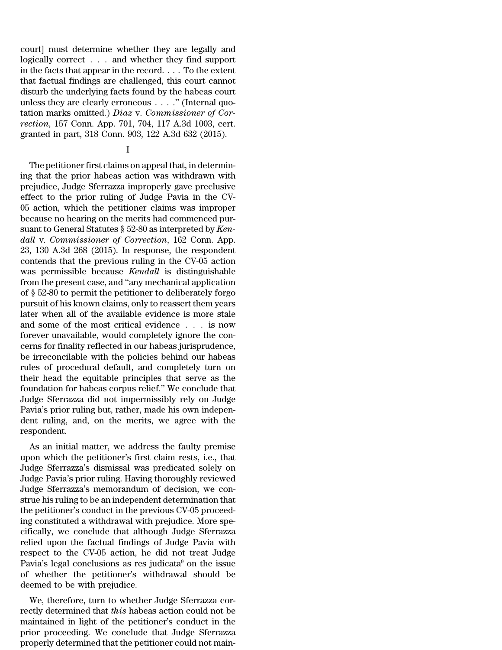court] must determine whether they are legally and logically correct . . . and whether they find support in the facts that appear in the record. . . . To the extent that factual findings are challenged, this court cannot disturb the underlying facts found by the habeas court unless they are clearly erroneous . . . .'' (Internal quotation marks omitted.) *Diaz* v. *Commissioner of Correction*, 157 Conn. App. 701, 704, 117 A.3d 1003, cert. granted in part, 318 Conn. 903, 122 A.3d 632 (2015).

## I

The petitioner first claims on appeal that, in determining that the prior habeas action was withdrawn with prejudice, Judge Sferrazza improperly gave preclusive effect to the prior ruling of Judge Pavia in the CV-05 action, which the petitioner claims was improper because no hearing on the merits had commenced pursuant to General Statutes § 52-80 as interpreted by *Kendall* v. *Commissioner of Correction*, 162 Conn. App. 23, 130 A.3d 268 (2015). In response, the respondent contends that the previous ruling in the CV-05 action was permissible because *Kendall* is distinguishable from the present case, and ''any mechanical application of § 52-80 to permit the petitioner to deliberately forgo pursuit of his known claims, only to reassert them years later when all of the available evidence is more stale and some of the most critical evidence . . . is now forever unavailable, would completely ignore the concerns for finality reflected in our habeas jurisprudence, be irreconcilable with the policies behind our habeas rules of procedural default, and completely turn on their head the equitable principles that serve as the foundation for habeas corpus relief.'' We conclude that Judge Sferrazza did not impermissibly rely on Judge Pavia's prior ruling but, rather, made his own independent ruling, and, on the merits, we agree with the respondent.

As an initial matter, we address the faulty premise upon which the petitioner's first claim rests, i.e., that Judge Sferrazza's dismissal was predicated solely on Judge Pavia's prior ruling. Having thoroughly reviewed Judge Sferrazza's memorandum of decision, we construe his ruling to be an independent determination that the petitioner's conduct in the previous CV-05 proceeding constituted a withdrawal with prejudice. More specifically, we conclude that although Judge Sferrazza relied upon the factual findings of Judge Pavia with respect to the CV-05 action, he did not treat Judge Pavia's legal conclusions as res judicata $9$  on the issue of whether the petitioner's withdrawal should be deemed to be with prejudice.

We, therefore, turn to whether Judge Sferrazza correctly determined that *this* habeas action could not be maintained in light of the petitioner's conduct in the prior proceeding. We conclude that Judge Sferrazza properly determined that the petitioner could not main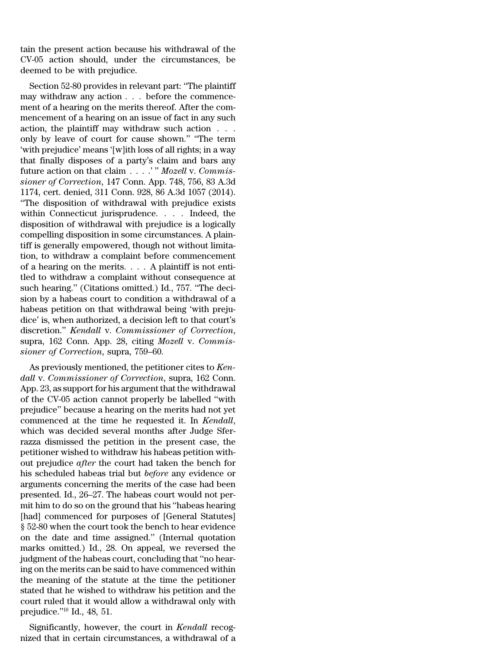tain the present action because his withdrawal of the CV-05 action should, under the circumstances, be deemed to be with prejudice.

Section 52-80 provides in relevant part: ''The plaintiff may withdraw any action . . . before the commencement of a hearing on the merits thereof. After the commencement of a hearing on an issue of fact in any such action, the plaintiff may withdraw such action . . . only by leave of court for cause shown.'' ''The term 'with prejudice' means '[w]ith loss of all rights; in a way that finally disposes of a party's claim and bars any future action on that claim . . . .' '' *Mozell* v. *Commissioner of Correction*, 147 Conn. App. 748, 756, 83 A.3d 1174, cert. denied, 311 Conn. 928, 86 A.3d 1057 (2014). ''The disposition of withdrawal with prejudice exists within Connecticut jurisprudence. . . . Indeed, the disposition of withdrawal with prejudice is a logically compelling disposition in some circumstances. A plaintiff is generally empowered, though not without limitation, to withdraw a complaint before commencement of a hearing on the merits. . . . A plaintiff is not entitled to withdraw a complaint without consequence at such hearing.'' (Citations omitted.) Id., 757. ''The decision by a habeas court to condition a withdrawal of a habeas petition on that withdrawal being 'with prejudice' is, when authorized, a decision left to that court's discretion.'' *Kendall* v. *Commissioner of Correction*, supra, 162 Conn. App. 28, citing *Mozell* v. *Commissioner of Correction*, supra, 759–60.

As previously mentioned, the petitioner cites to *Kendall* v. *Commissioner of Correction*, supra, 162 Conn. App. 23, as support for his argument that the withdrawal of the CV-05 action cannot properly be labelled ''with prejudice'' because a hearing on the merits had not yet commenced at the time he requested it. In *Kendall*, which was decided several months after Judge Sferrazza dismissed the petition in the present case, the petitioner wished to withdraw his habeas petition without prejudice *after* the court had taken the bench for his scheduled habeas trial but *before* any evidence or arguments concerning the merits of the case had been presented. Id., 26–27. The habeas court would not permit him to do so on the ground that his ''habeas hearing [had] commenced for purposes of [General Statutes] § 52-80 when the court took the bench to hear evidence on the date and time assigned.'' (Internal quotation marks omitted.) Id., 28. On appeal, we reversed the judgment of the habeas court, concluding that ''no hearing on the merits can be said to have commenced within the meaning of the statute at the time the petitioner stated that he wished to withdraw his petition and the court ruled that it would allow a withdrawal only with prejudice.''<sup>10</sup> Id., 48, 51.

Significantly, however, the court in *Kendall* recognized that in certain circumstances, a withdrawal of a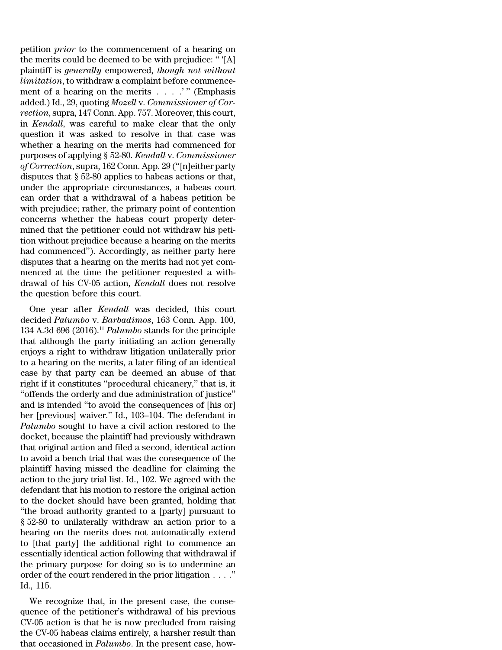petition *prior* to the commencement of a hearing on the merits could be deemed to be with prejudice: '' '[A] plaintiff is *generally* empowered, *though not without limitation*, to withdraw a complaint before commencement of a hearing on the merits . . . .'" (Emphasis added.) Id., 29, quoting *Mozell* v. *Commissioner of Correction*, supra, 147 Conn. App. 757. Moreover, this court, in *Kendall*, was careful to make clear that the only question it was asked to resolve in that case was whether a hearing on the merits had commenced for purposes of applying § 52-80. *Kendall* v. *Commissioner of Correction*, supra, 162 Conn. App. 29 (''[n]either party disputes that § 52-80 applies to habeas actions or that, under the appropriate circumstances, a habeas court can order that a withdrawal of a habeas petition be with prejudice; rather, the primary point of contention concerns whether the habeas court properly determined that the petitioner could not withdraw his petition without prejudice because a hearing on the merits had commenced''). Accordingly, as neither party here disputes that a hearing on the merits had not yet commenced at the time the petitioner requested a withdrawal of his CV-05 action, *Kendall* does not resolve the question before this court.

One year after *Kendall* was decided, this court decided *Palumbo* v. *Barbadimos*, 163 Conn. App. 100, 134 A.3d 696 (2016).<sup>11</sup> *Palumbo* stands for the principle that although the party initiating an action generally enjoys a right to withdraw litigation unilaterally prior to a hearing on the merits, a later filing of an identical case by that party can be deemed an abuse of that right if it constitutes ''procedural chicanery,'' that is, it ''offends the orderly and due administration of justice'' and is intended ''to avoid the consequences of [his or] her [previous] waiver.'' Id., 103–104. The defendant in *Palumbo* sought to have a civil action restored to the docket, because the plaintiff had previously withdrawn that original action and filed a second, identical action to avoid a bench trial that was the consequence of the plaintiff having missed the deadline for claiming the action to the jury trial list. Id., 102. We agreed with the defendant that his motion to restore the original action to the docket should have been granted, holding that ''the broad authority granted to a [party] pursuant to § 52-80 to unilaterally withdraw an action prior to a hearing on the merits does not automatically extend to [that party] the additional right to commence an essentially identical action following that withdrawal if the primary purpose for doing so is to undermine an order of the court rendered in the prior litigation . . . .'' Id., 115.

We recognize that, in the present case, the consequence of the petitioner's withdrawal of his previous CV-05 action is that he is now precluded from raising the CV-05 habeas claims entirely, a harsher result than that occasioned in *Palumbo*. In the present case, how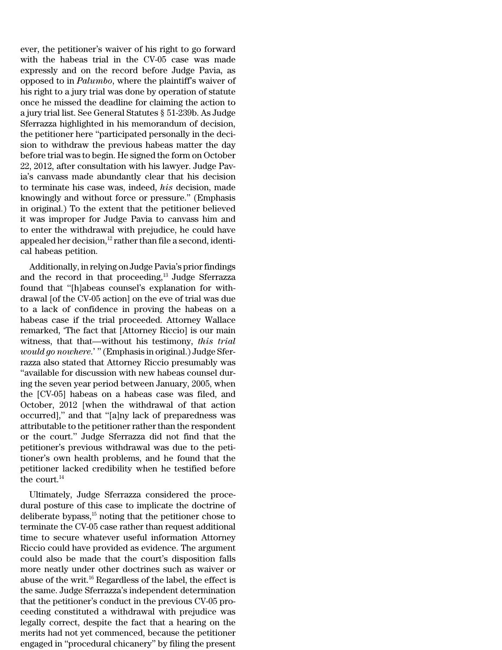ever, the petitioner's waiver of his right to go forward with the habeas trial in the CV-05 case was made expressly and on the record before Judge Pavia, as opposed to in *Palumbo*, where the plaintiff's waiver of his right to a jury trial was done by operation of statute once he missed the deadline for claiming the action to a jury trial list. See General Statutes § 51-239b. As Judge Sferrazza highlighted in his memorandum of decision, the petitioner here ''participated personally in the decision to withdraw the previous habeas matter the day before trial was to begin. He signed the form on October 22, 2012, after consultation with his lawyer. Judge Pavia's canvass made abundantly clear that his decision to terminate his case was, indeed, *his* decision, made knowingly and without force or pressure.'' (Emphasis in original.) To the extent that the petitioner believed it was improper for Judge Pavia to canvass him and to enter the withdrawal with prejudice, he could have appealed her decision, $12$  rather than file a second, identical habeas petition.

Additionally, in relying on Judge Pavia's prior findings and the record in that proceeding,<sup>13</sup> Judge Sferrazza found that ''[h]abeas counsel's explanation for withdrawal [of the CV-05 action] on the eve of trial was due to a lack of confidence in proving the habeas on a habeas case if the trial proceeded. Attorney Wallace remarked, 'The fact that [Attorney Riccio] is our main witness, that that—without his testimony, *this trial would go nowhere*.' ''(Emphasis in original.) Judge Sferrazza also stated that Attorney Riccio presumably was ''available for discussion with new habeas counsel during the seven year period between January, 2005, when the [CV-05] habeas on a habeas case was filed, and October, 2012 [when the withdrawal of that action occurred],'' and that ''[a]ny lack of preparedness was attributable to the petitioner rather than the respondent or the court.'' Judge Sferrazza did not find that the petitioner's previous withdrawal was due to the petitioner's own health problems, and he found that the petitioner lacked credibility when he testified before the court.<sup>14</sup>

Ultimately, Judge Sferrazza considered the procedural posture of this case to implicate the doctrine of deliberate bypass, $15$  noting that the petitioner chose to terminate the CV-05 case rather than request additional time to secure whatever useful information Attorney Riccio could have provided as evidence. The argument could also be made that the court's disposition falls more neatly under other doctrines such as waiver or abuse of the writ.<sup>16</sup> Regardless of the label, the effect is the same. Judge Sferrazza's independent determination that the petitioner's conduct in the previous CV-05 proceeding constituted a withdrawal with prejudice was legally correct, despite the fact that a hearing on the merits had not yet commenced, because the petitioner engaged in ''procedural chicanery'' by filing the present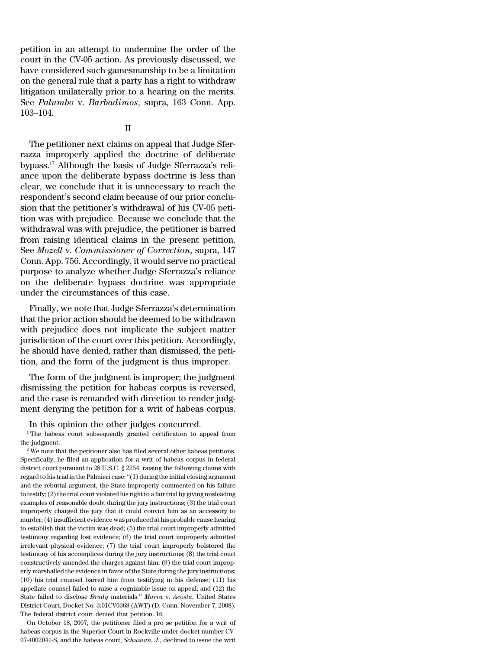petition in an attempt to undermine the order of the court in the CV-05 action. As previously discussed, we have considered such gamesmanship to be a limitation on the general rule that a party has a right to withdraw litigation unilaterally prior to a hearing on the merits. See *Palumbo* v. *Barbadimos*, supra, 163 Conn. App. 103–104.

## II

The petitioner next claims on appeal that Judge Sferrazza improperly applied the doctrine of deliberate bypass.<sup>17</sup> Although the basis of Judge Sferrazza's reliance upon the deliberate bypass doctrine is less than clear, we conclude that it is unnecessary to reach the respondent's second claim because of our prior conclusion that the petitioner's withdrawal of his CV-05 petition was with prejudice. Because we conclude that the withdrawal was with prejudice, the petitioner is barred from raising identical claims in the present petition. See *Mozell* v. *Commissioner of Correction*, supra, 147 Conn. App. 756. Accordingly, it would serve no practical purpose to analyze whether Judge Sferrazza's reliance on the deliberate bypass doctrine was appropriate under the circumstances of this case.

Finally, we note that Judge Sferrazza's determination that the prior action should be deemed to be withdrawn with prejudice does not implicate the subject matter jurisdiction of the court over this petition. Accordingly, he should have denied, rather than dismissed, the petition, and the form of the judgment is thus improper.

The form of the judgment is improper; the judgment dismissing the petition for habeas corpus is reversed, and the case is remanded with direction to render judgment denying the petition for a writ of habeas corpus.

In this opinion the other judges concurred.

<sup>1</sup> The habeas court subsequently granted certification to appeal from the judgment.

 $2$ <sup>2</sup> We note that the petitioner also has filed several other habeas petitions. Specifically, he filed an application for a writ of habeas corpus in federal district court pursuant to 28 U.S.C. § 2254, raising the following claims with regard to his trial in the Palmieri case: ''(1) during the initial closing argument and the rebuttal argument, the State improperly commented on his failure to testify;  $(2)$  the trial court violated his right to a fair trial by giving misleading examples of reasonable doubt during the jury instructions; (3) the trial court improperly charged the jury that it could convict him as an accessory to murder; (4) insufficient evidence was produced at his probable cause hearing to establish that the victim was dead; (5) the trial court improperly admitted testimony regarding lost evidence; (6) the trial court improperly admitted irrelevant physical evidence; (7) the trial court improperly bolstered the testimony of his accomplices during the jury instructions; (8) the trial court constructively amended the charges against him; (9) the trial court improperly marshalled the evidence in favor of the State during the jury instructions; (10) his trial counsel barred him from testifying in his defense; (11) his appellate counsel failed to raise a cognizable issue on appeal; and (12) the State failed to disclose *Brady* materials.'' *Marra* v. *Acosta*, United States District Court, Docket No. 3:01CV0368 (AWT) (D. Conn. November 7, 2008). The federal district court denied that petition. Id.

On October 18, 2007, the petitioner filed a pro se petition for a writ of habeas corpus in the Superior Court in Rockville under docket number CV-07-4002041-S, and the habeas court, *Schuman, J.*, declined to issue the writ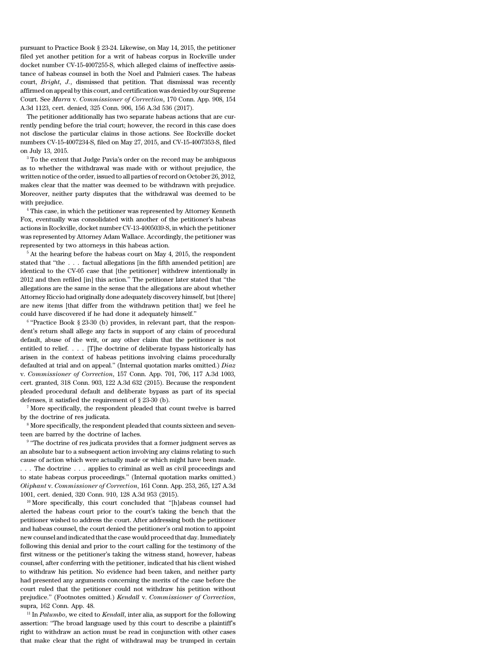pursuant to Practice Book § 23-24. Likewise, on May 14, 2015, the petitioner filed yet another petition for a writ of habeas corpus in Rockville under docket number CV-15-4007255-S, which alleged claims of ineffective assistance of habeas counsel in both the Noel and Palmieri cases. The habeas court, *Bright, J.*, dismissed that petition. That dismissal was recently affirmed on appeal by this court, and certification was denied by our Supreme Court. See *Marra* v. *Commissioner of Correction*, 170 Conn. App. 908, 154 A.3d 1123, cert. denied, 325 Conn. 906, 156 A.3d 536 (2017).

The petitioner additionally has two separate habeas actions that are currently pending before the trial court; however, the record in this case does not disclose the particular claims in those actions. See Rockville docket numbers CV-15-4007234-S, filed on May 27, 2015, and CV-15-4007353-S, filed on July 13, 2015.

<sup>3</sup> To the extent that Judge Pavia's order on the record may be ambiguous as to whether the withdrawal was made with or without prejudice, the written notice of the order, issued to all parties of record on October 26, 2012, makes clear that the matter was deemed to be withdrawn with prejudice. Moreover, neither party disputes that the withdrawal was deemed to be with prejudice.

<sup>4</sup> This case, in which the petitioner was represented by Attorney Kenneth Fox, eventually was consolidated with another of the petitioner's habeas actions in Rockville, docket number CV-13-4005039-S, in which the petitioner was represented by Attorney Adam Wallace. Accordingly, the petitioner was represented by two attorneys in this habeas action.

<sup>5</sup> At the hearing before the habeas court on May 4, 2015, the respondent stated that ''the . . . factual allegations [in the fifth amended petition] are identical to the CV-05 case that [the petitioner] withdrew intentionally in 2012 and then refiled [in] this action.'' The petitioner later stated that ''the allegations are the same in the sense that the allegations are about whether Attorney Riccio had originally done adequately discovery himself, but [there] are new items [that differ from the withdrawn petition that] we feel he could have discovered if he had done it adequately himself.''

<sup>6</sup> "Practice Book § 23-30 (b) provides, in relevant part, that the respondent's return shall allege any facts in support of any claim of procedural default, abuse of the writ, or any other claim that the petitioner is not entitled to relief. . . . [T]he doctrine of deliberate bypass historically has arisen in the context of habeas petitions involving claims procedurally defaulted at trial and on appeal.'' (Internal quotation marks omitted.) *Diaz* v. *Commissioner of Correction*, 157 Conn. App. 701, 706, 117 A.3d 1003, cert. granted, 318 Conn. 903, 122 A.3d 632 (2015). Because the respondent pleaded procedural default and deliberate bypass as part of its special defenses, it satisfied the requirement of § 23-30 (b).

<sup>7</sup> More specifically, the respondent pleaded that count twelve is barred by the doctrine of res judicata.

<sup>8</sup> More specifically, the respondent pleaded that counts sixteen and seventeen are barred by the doctrine of laches.

<sup>9</sup> "The doctrine of res judicata provides that a former judgment serves as an absolute bar to a subsequent action involving any claims relating to such cause of action which were actually made or which might have been made. . . . The doctrine . . . applies to criminal as well as civil proceedings and to state habeas corpus proceedings.'' (Internal quotation marks omitted.) *Oliphant* v. *Commissioner of Correction*, 161 Conn. App. 253, 265, 127 A.3d 1001, cert. denied, 320 Conn. 910, 128 A.3d 953 (2015).

<sup>10</sup> More specifically, this court concluded that ''[h]abeas counsel had alerted the habeas court prior to the court's taking the bench that the petitioner wished to address the court. After addressing both the petitioner and habeas counsel, the court denied the petitioner's oral motion to appoint new counsel and indicated that the case would proceed that day. Immediately following this denial and prior to the court calling for the testimony of the first witness or the petitioner's taking the witness stand, however, habeas counsel, after conferring with the petitioner, indicated that his client wished to withdraw his petition. No evidence had been taken, and neither party had presented any arguments concerning the merits of the case before the court ruled that the petitioner could not withdraw his petition without prejudice.'' (Footnotes omitted.) *Kendall* v. *Commissioner of Correction*, supra, 162 Conn. App. 48.

<sup>11</sup> In *Palumbo*, we cited to *Kendall*, inter alia, as support for the following assertion: ''The broad language used by this court to describe a plaintiff's right to withdraw an action must be read in conjunction with other cases that make clear that the right of withdrawal may be trumped in certain